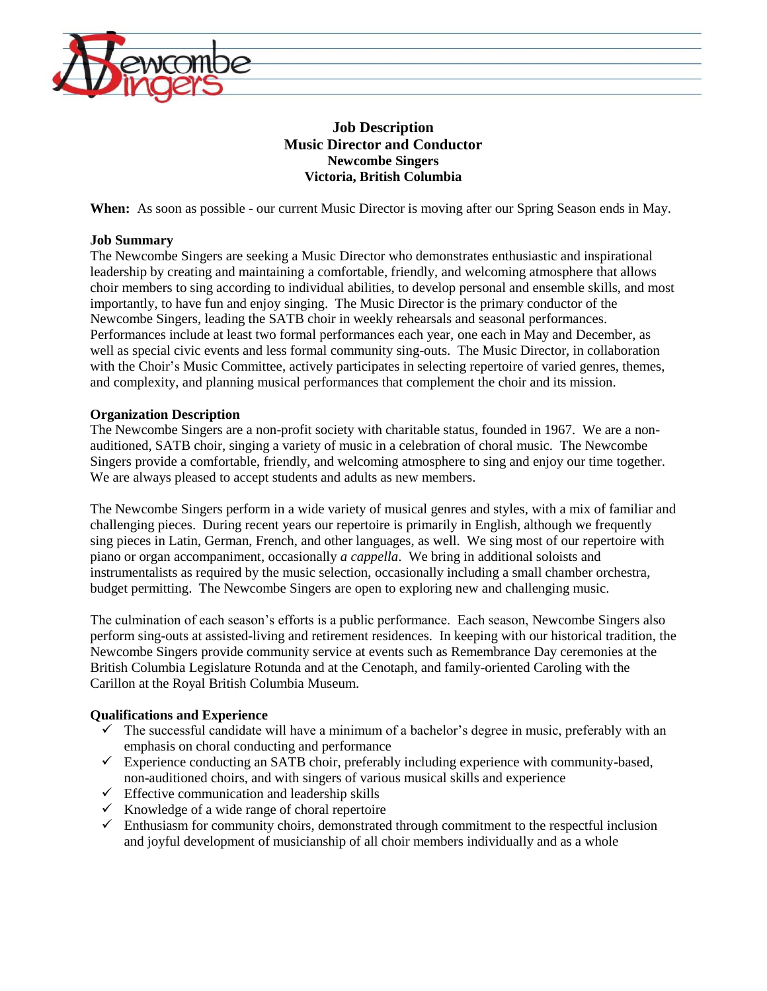

# **Job Description Music Director and Conductor Newcombe Singers Victoria, British Columbia**

**When:** As soon as possible - our current Music Director is moving after our Spring Season ends in May.

# **Job Summary**

The Newcombe Singers are seeking a Music Director who demonstrates enthusiastic and inspirational leadership by creating and maintaining a comfortable, friendly, and welcoming atmosphere that allows choir members to sing according to individual abilities, to develop personal and ensemble skills, and most importantly, to have fun and enjoy singing. The Music Director is the primary conductor of the Newcombe Singers, leading the SATB choir in weekly rehearsals and seasonal performances. Performances include at least two formal performances each year, one each in May and December, as well as special civic events and less formal community sing-outs. The Music Director, in collaboration with the Choir's Music Committee, actively participates in selecting repertoire of varied genres, themes, and complexity, and planning musical performances that complement the choir and its mission.

# **Organization Description**

The Newcombe Singers are a non-profit society with charitable status, founded in 1967. We are a nonauditioned, SATB choir, singing a variety of music in a celebration of choral music. The Newcombe Singers provide a comfortable, friendly, and welcoming atmosphere to sing and enjoy our time together. We are always pleased to accept students and adults as new members.

The Newcombe Singers perform in a wide variety of musical genres and styles, with a mix of familiar and challenging pieces. During recent years our repertoire is primarily in English, although we frequently sing pieces in Latin, German, French, and other languages, as well. We sing most of our repertoire with piano or organ accompaniment, occasionally *a cappella*. We bring in additional soloists and instrumentalists as required by the music selection, occasionally including a small chamber orchestra, budget permitting. The Newcombe Singers are open to exploring new and challenging music.

The culmination of each season's efforts is a public performance. Each season, Newcombe Singers also perform sing-outs at assisted-living and retirement residences. In keeping with our historical tradition, the Newcombe Singers provide community service at events such as Remembrance Day ceremonies at the British Columbia Legislature Rotunda and at the Cenotaph, and family-oriented Caroling with the Carillon at the Royal British Columbia Museum.

## **Qualifications and Experience**

- $\checkmark$  The successful candidate will have a minimum of a bachelor's degree in music, preferably with an emphasis on choral conducting and performance
- $\checkmark$  Experience conducting an SATB choir, preferably including experience with community-based, non-auditioned choirs, and with singers of various musical skills and experience
- $\checkmark$  Effective communication and leadership skills
- $\checkmark$  Knowledge of a wide range of choral repertoire
- $\checkmark$  Enthusiasm for community choirs, demonstrated through commitment to the respectful inclusion and joyful development of musicianship of all choir members individually and as a whole